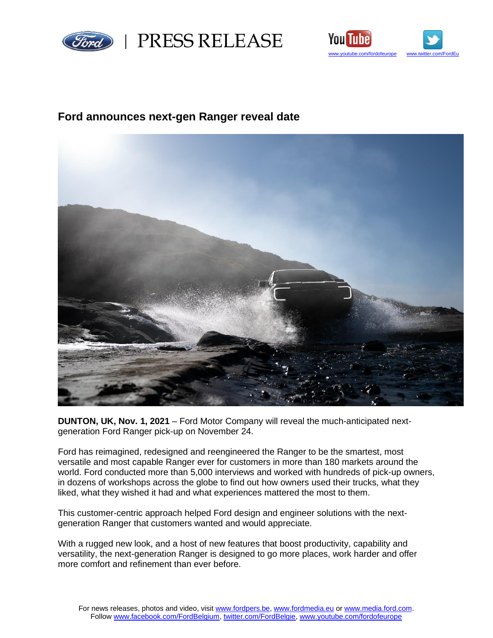



# **Ford announces next-gen Ranger reveal date**



**DUNTON, UK, Nov. 1, 2021** – Ford Motor Company will reveal the much-anticipated nextgeneration Ford Ranger pick-up on November 24.

Ford has reimagined, redesigned and reengineered the Ranger to be the smartest, most versatile and most capable Ranger ever for customers in more than 180 markets around the world. Ford conducted more than 5,000 interviews and worked with hundreds of pick-up owners, in dozens of workshops across the globe to find out how owners used their trucks, what they liked, what they wished it had and what experiences mattered the most to them.

This customer-centric approach helped Ford design and engineer solutions with the nextgeneration Ranger that customers wanted and would appreciate.

With a rugged new look, and a host of new features that boost productivity, capability and versatility, the next-generation Ranger is designed to go more places, work harder and offer more comfort and refinement than ever before.